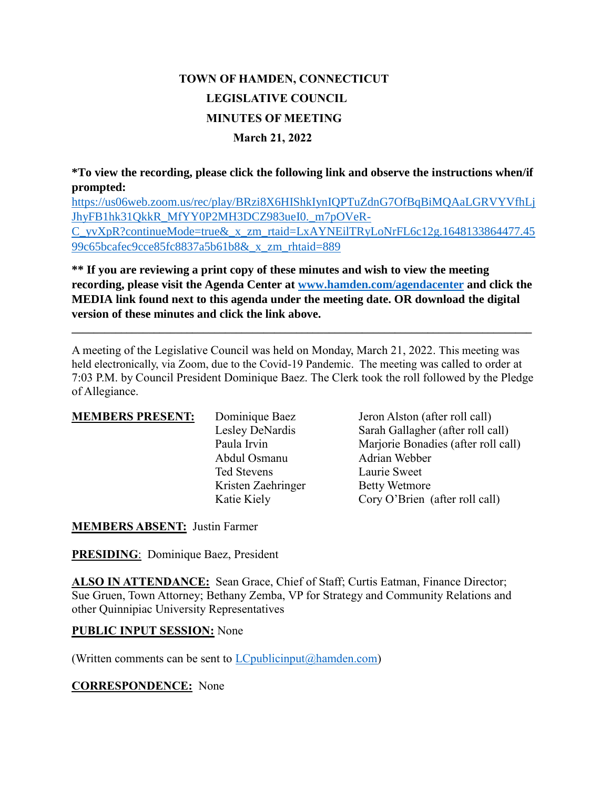# **TOWN OF HAMDEN, CONNECTICUT LEGISLATIVE COUNCIL MINUTES OF MEETING March 21, 2022**

**\*To view the recording, please click the following link and observe the instructions when/if prompted:**

[https://us06web.zoom.us/rec/play/BRzi8X6HIShkIynIQPTuZdnG7OfBqBiMQAaLGRVYVfhLj](https://us06web.zoom.us/rec/play/BRzi8X6HIShkIynIQPTuZdnG7OfBqBiMQAaLGRVYVfhLjJhyFB1hk31QkkR_MfYY0P2MH3DCZ983ueI0._m7pOVeR-C_yvXpR?continueMode=true&_x_zm_rtaid=LxAYNEilTRyLoNrFL6c12g.1648133864477.4599c65bcafec9cce85fc8837a5b61b8&_x_zm_rhtaid=889) [JhyFB1hk31QkkR\\_MfYY0P2MH3DCZ983ueI0.\\_m7pOVeR-](https://us06web.zoom.us/rec/play/BRzi8X6HIShkIynIQPTuZdnG7OfBqBiMQAaLGRVYVfhLjJhyFB1hk31QkkR_MfYY0P2MH3DCZ983ueI0._m7pOVeR-C_yvXpR?continueMode=true&_x_zm_rtaid=LxAYNEilTRyLoNrFL6c12g.1648133864477.4599c65bcafec9cce85fc8837a5b61b8&_x_zm_rhtaid=889)[C\\_yvXpR?continueMode=true&\\_x\\_zm\\_rtaid=LxAYNEilTRyLoNrFL6c12g.1648133864477.45](https://us06web.zoom.us/rec/play/BRzi8X6HIShkIynIQPTuZdnG7OfBqBiMQAaLGRVYVfhLjJhyFB1hk31QkkR_MfYY0P2MH3DCZ983ueI0._m7pOVeR-C_yvXpR?continueMode=true&_x_zm_rtaid=LxAYNEilTRyLoNrFL6c12g.1648133864477.4599c65bcafec9cce85fc8837a5b61b8&_x_zm_rhtaid=889) [99c65bcafec9cce85fc8837a5b61b8&\\_x\\_zm\\_rhtaid=889](https://us06web.zoom.us/rec/play/BRzi8X6HIShkIynIQPTuZdnG7OfBqBiMQAaLGRVYVfhLjJhyFB1hk31QkkR_MfYY0P2MH3DCZ983ueI0._m7pOVeR-C_yvXpR?continueMode=true&_x_zm_rtaid=LxAYNEilTRyLoNrFL6c12g.1648133864477.4599c65bcafec9cce85fc8837a5b61b8&_x_zm_rhtaid=889)

**\*\* If you are reviewing a print copy of these minutes and wish to view the meeting recording, please visit the Agenda Center at [www.hamden.com/agendacenter](http://www.hamden.com/agendacenter) and click the MEDIA link found next to this agenda under the meeting date. OR download the digital version of these minutes and click the link above.**

**\_\_\_\_\_\_\_\_\_\_\_\_\_\_\_\_\_\_\_\_\_\_\_\_\_\_\_\_\_\_\_\_\_\_\_\_\_\_\_\_\_\_\_\_\_\_\_\_\_\_\_\_\_\_\_\_\_\_\_\_\_\_\_\_\_\_\_\_\_\_\_\_\_\_\_\_\_\_\_\_\_\_\_\_**

A meeting of the Legislative Council was held on Monday, March 21, 2022. This meeting was held electronically, via Zoom, due to the Covid-19 Pandemic. The meeting was called to order at 7:03 P.M. by Council President Dominique Baez. The Clerk took the roll followed by the Pledge of Allegiance.

| <b>MEMBERS PRESENT:</b> | Dominique Baez     | Jeron Alston (a      |
|-------------------------|--------------------|----------------------|
|                         | Lesley DeNardis    | Sarah Gallaghe       |
|                         | Paula Irvin        | Marjorie Bonad       |
|                         | Abdul Osmanu       | Adrian Webber        |
|                         | <b>Ted Stevens</b> | Laurie Sweet         |
|                         | Kristen Zaehringer | <b>Betty Wetmore</b> |
|                         | Katie Kiely        | Cory O'Brien         |
|                         |                    |                      |

**MEMBERS** Freshton (after roll call) llagher (after roll call) Bonadies (after roll call) tmore Brien (after roll call)

**MEMBERS ABSENT:** Justin Farmer

**PRESIDING**: Dominique Baez, President

**ALSO IN ATTENDANCE:** Sean Grace, Chief of Staff; Curtis Eatman, Finance Director; Sue Gruen, Town Attorney; Bethany Zemba, VP for Strategy and Community Relations and other Quinnipiac University Representatives

#### **PUBLIC INPUT SESSION:** None

(Written comments can be sent to  $LC$  publicinput  $(a)$  hamden.com)

**CORRESPONDENCE:** None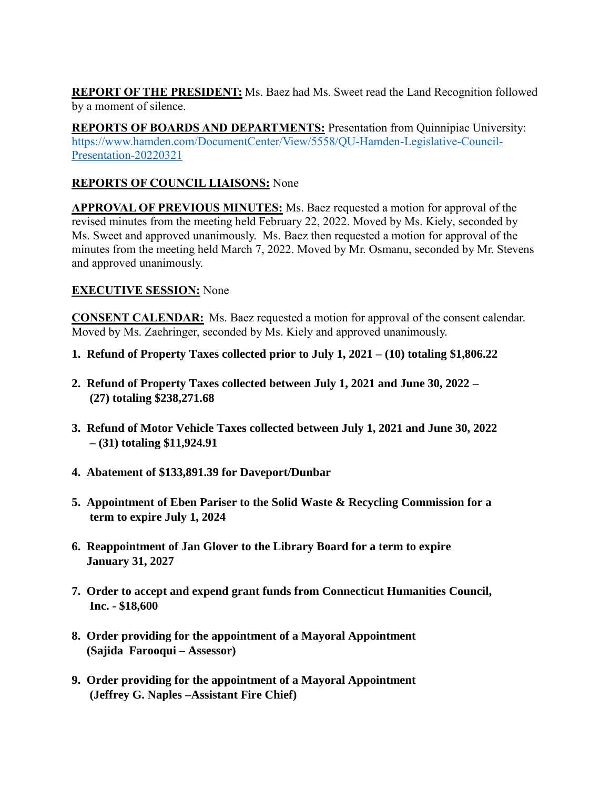**REPORT OF THE PRESIDENT:** Ms. Baez had Ms. Sweet read the Land Recognition followed by a moment of silence.

**REPORTS OF BOARDS AND DEPARTMENTS:** Presentation from Quinnipiac University: [https://www.hamden.com/DocumentCenter/View/5558/QU-Hamden-Legislative-Council-](https://www.hamden.com/DocumentCenter/View/5558/QU-Hamden-Legislative-Council-Presentation-20220321)[Presentation-20220321](https://www.hamden.com/DocumentCenter/View/5558/QU-Hamden-Legislative-Council-Presentation-20220321)

## **REPORTS OF COUNCIL LIAISONS:** None

**APPROVAL OF PREVIOUS MINUTES:** Ms. Baez requested a motion for approval of the revised minutes from the meeting held February 22, 2022. Moved by Ms. Kiely, seconded by Ms. Sweet and approved unanimously. Ms. Baez then requested a motion for approval of the minutes from the meeting held March 7, 2022. Moved by Mr. Osmanu, seconded by Mr. Stevens and approved unanimously.

## **EXECUTIVE SESSION:** None

**CONSENT CALENDAR:** Ms. Baez requested a motion for approval of the consent calendar. Moved by Ms. Zaehringer, seconded by Ms. Kiely and approved unanimously.

- **1. Refund of Property Taxes collected prior to July 1, 2021 – (10) totaling \$1,806.22**
- **2. Refund of Property Taxes collected between July 1, 2021 and June 30, 2022 – (27) totaling \$238,271.68**
- **3. Refund of Motor Vehicle Taxes collected between July 1, 2021 and June 30, 2022 – (31) totaling \$11,924.91**
- **4. Abatement of \$133,891.39 for Daveport/Dunbar**
- **5. Appointment of Eben Pariser to the Solid Waste & Recycling Commission for a term to expire July 1, 2024**
- **6. Reappointment of Jan Glover to the Library Board for a term to expire January 31, 2027**
- **7. Order to accept and expend grant funds from Connecticut Humanities Council, Inc. - \$18,600**
- **8. Order providing for the appointment of a Mayoral Appointment (Sajida Farooqui – Assessor)**
- **9. Order providing for the appointment of a Mayoral Appointment (Jeffrey G. Naples –Assistant Fire Chief)**